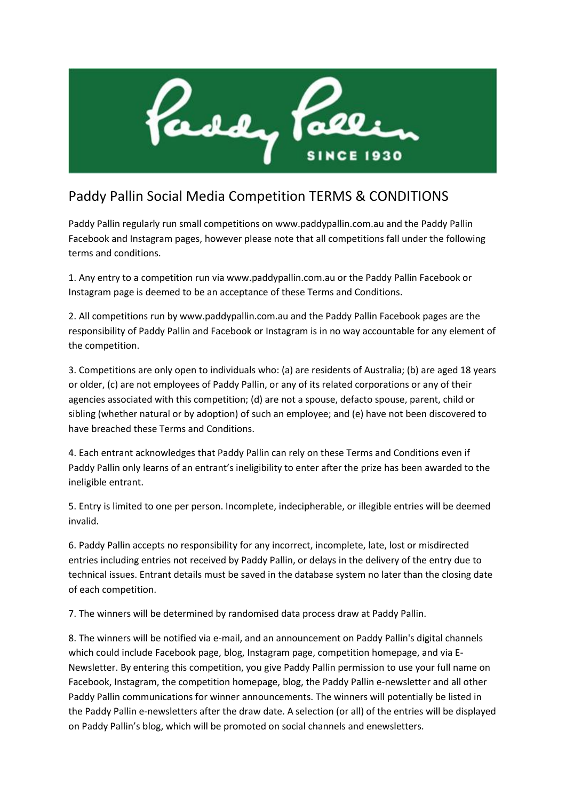

# Paddy Pallin Social Media Competition TERMS & CONDITIONS

Paddy Pallin regularly run small competitions on www.paddypallin.com.au and the Paddy Pallin Facebook and Instagram pages, however please note that all competitions fall under the following terms and conditions.

1. Any entry to a competition run via www.paddypallin.com.au or the Paddy Pallin Facebook or Instagram page is deemed to be an acceptance of these Terms and Conditions.

2. All competitions run by www.paddypallin.com.au and the Paddy Pallin Facebook pages are the responsibility of Paddy Pallin and Facebook or Instagram is in no way accountable for any element of the competition.

3. Competitions are only open to individuals who: (a) are residents of Australia; (b) are aged 18 years or older, (c) are not employees of Paddy Pallin, or any of its related corporations or any of their agencies associated with this competition; (d) are not a spouse, defacto spouse, parent, child or sibling (whether natural or by adoption) of such an employee; and (e) have not been discovered to have breached these Terms and Conditions.

4. Each entrant acknowledges that Paddy Pallin can rely on these Terms and Conditions even if Paddy Pallin only learns of an entrant's ineligibility to enter after the prize has been awarded to the ineligible entrant.

5. Entry is limited to one per person. Incomplete, indecipherable, or illegible entries will be deemed invalid.

6. Paddy Pallin accepts no responsibility for any incorrect, incomplete, late, lost or misdirected entries including entries not received by Paddy Pallin, or delays in the delivery of the entry due to technical issues. Entrant details must be saved in the database system no later than the closing date of each competition.

7. The winners will be determined by randomised data process draw at Paddy Pallin.

8. The winners will be notified via e-mail, and an announcement on Paddy Pallin's digital channels which could include Facebook page, blog, Instagram page, competition homepage, and via E-Newsletter. By entering this competition, you give Paddy Pallin permission to use your full name on Facebook, Instagram, the competition homepage, blog, the Paddy Pallin e-newsletter and all other Paddy Pallin communications for winner announcements. The winners will potentially be listed in the Paddy Pallin e-newsletters after the draw date. A selection (or all) of the entries will be displayed on Paddy Pallin's blog, which will be promoted on social channels and enewsletters.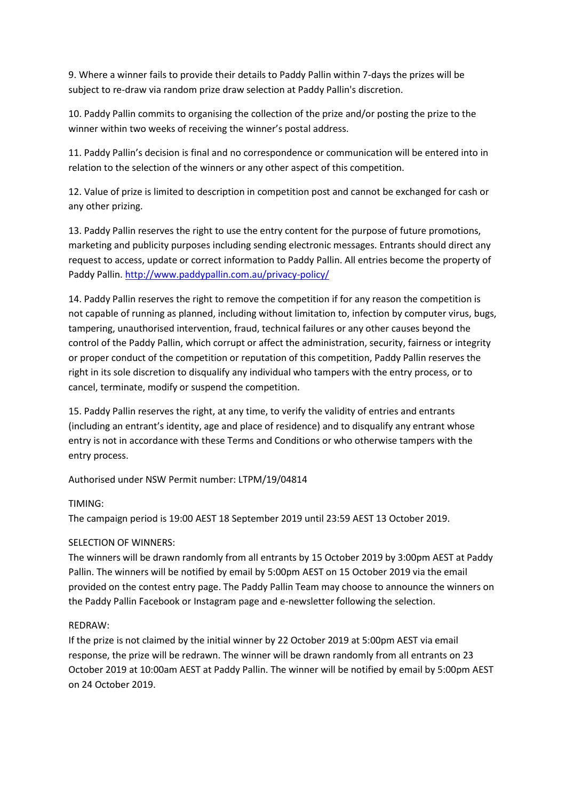9. Where a winner fails to provide their details to Paddy Pallin within 7-days the prizes will be subject to re-draw via random prize draw selection at Paddy Pallin's discretion.

10. Paddy Pallin commits to organising the collection of the prize and/or posting the prize to the winner within two weeks of receiving the winner's postal address.

11. Paddy Pallin's decision is final and no correspondence or communication will be entered into in relation to the selection of the winners or any other aspect of this competition.

12. Value of prize is limited to description in competition post and cannot be exchanged for cash or any other prizing.

13. Paddy Pallin reserves the right to use the entry content for the purpose of future promotions, marketing and publicity purposes including sending electronic messages. Entrants should direct any request to access, update or correct information to Paddy Pallin. All entries become the property of Paddy Pallin[. http://www.paddypallin.com.au/privacy-policy/](http://www.paddypallin.com.au/privacy-policy/)

14. Paddy Pallin reserves the right to remove the competition if for any reason the competition is not capable of running as planned, including without limitation to, infection by computer virus, bugs, tampering, unauthorised intervention, fraud, technical failures or any other causes beyond the control of the Paddy Pallin, which corrupt or affect the administration, security, fairness or integrity or proper conduct of the competition or reputation of this competition, Paddy Pallin reserves the right in its sole discretion to disqualify any individual who tampers with the entry process, or to cancel, terminate, modify or suspend the competition.

15. Paddy Pallin reserves the right, at any time, to verify the validity of entries and entrants (including an entrant's identity, age and place of residence) and to disqualify any entrant whose entry is not in accordance with these Terms and Conditions or who otherwise tampers with the entry process.

Authorised under NSW Permit number: LTPM/19/04814

## TIMING:

The campaign period is 19:00 AEST 18 September 2019 until 23:59 AEST 13 October 2019.

## SELECTION OF WINNERS:

The winners will be drawn randomly from all entrants by 15 October 2019 by 3:00pm AEST at Paddy Pallin. The winners will be notified by email by 5:00pm AEST on 15 October 2019 via the email provided on the contest entry page. The Paddy Pallin Team may choose to announce the winners on the Paddy Pallin Facebook or Instagram page and e-newsletter following the selection.

#### REDRAW:

If the prize is not claimed by the initial winner by 22 October 2019 at 5:00pm AEST via email response, the prize will be redrawn. The winner will be drawn randomly from all entrants on 23 October 2019 at 10:00am AEST at Paddy Pallin. The winner will be notified by email by 5:00pm AEST on 24 October 2019.